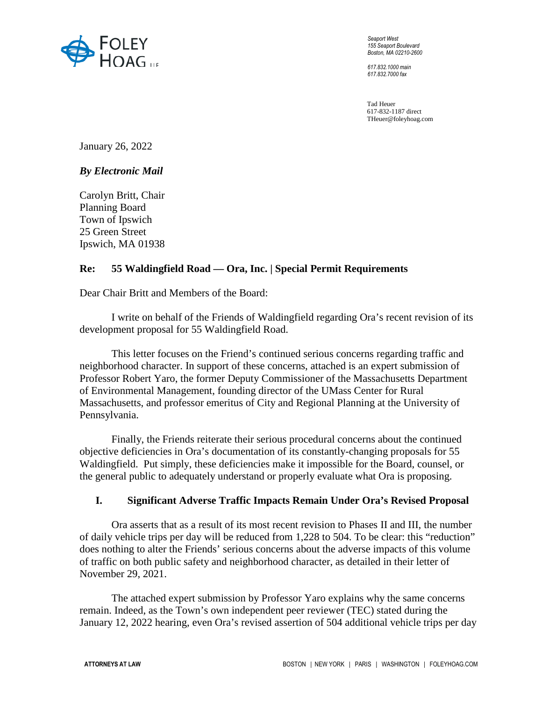

*Seaport West 155 Seaport Boulevard Boston, MA 02210-2600* 

*617.832.1000 main 617.832.7000 fax* 

Tad Heuer 617-832-1187 direct THeuer@foleyhoag.com

January 26, 2022

# *By Electronic Mail*

Carolyn Britt, Chair Planning Board Town of Ipswich 25 Green Street Ipswich, MA 01938

### **Re: 55 Waldingfield Road — Ora, Inc. | Special Permit Requirements**

Dear Chair Britt and Members of the Board:

I write on behalf of the Friends of Waldingfield regarding Ora's recent revision of its development proposal for 55 Waldingfield Road.

This letter focuses on the Friend's continued serious concerns regarding traffic and neighborhood character. In support of these concerns, attached is an expert submission of Professor Robert Yaro, the former Deputy Commissioner of the Massachusetts Department of Environmental Management, founding director of the UMass Center for Rural Massachusetts, and professor emeritus of City and Regional Planning at the University of Pennsylvania.

Finally, the Friends reiterate their serious procedural concerns about the continued objective deficiencies in Ora's documentation of its constantly-changing proposals for 55 Waldingfield. Put simply, these deficiencies make it impossible for the Board, counsel, or the general public to adequately understand or properly evaluate what Ora is proposing.

### **I. Significant Adverse Traffic Impacts Remain Under Ora's Revised Proposal**

Ora asserts that as a result of its most recent revision to Phases II and III, the number of daily vehicle trips per day will be reduced from 1,228 to 504. To be clear: this "reduction" does nothing to alter the Friends' serious concerns about the adverse impacts of this volume of traffic on both public safety and neighborhood character, as detailed in their letter of November 29, 2021.

The attached expert submission by Professor Yaro explains why the same concerns remain. Indeed, as the Town's own independent peer reviewer (TEC) stated during the January 12, 2022 hearing, even Ora's revised assertion of 504 additional vehicle trips per day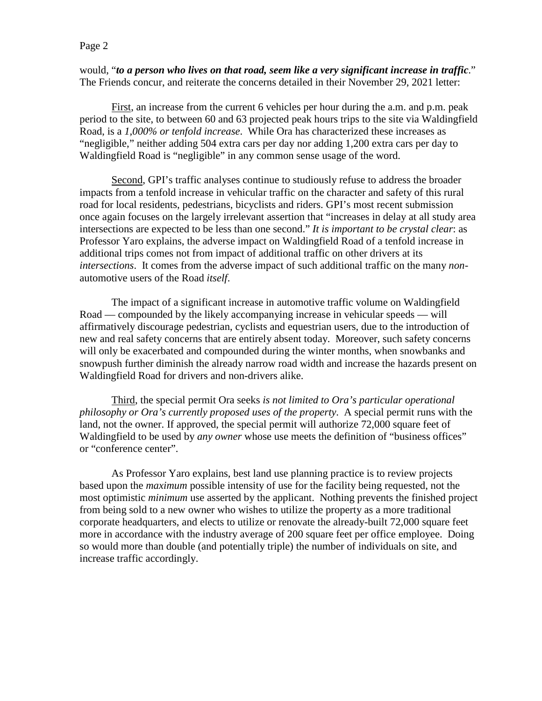#### Page 2

would, "*to a person who lives on that road, seem like a very significant increase in traffic*." The Friends concur, and reiterate the concerns detailed in their November 29, 2021 letter:

First, an increase from the current 6 vehicles per hour during the a.m. and p.m. peak period to the site, to between 60 and 63 projected peak hours trips to the site via Waldingfield Road, is a *1,000% or tenfold increase*. While Ora has characterized these increases as "negligible," neither adding 504 extra cars per day nor adding 1,200 extra cars per day to Waldingfield Road is "negligible" in any common sense usage of the word.

Second, GPI's traffic analyses continue to studiously refuse to address the broader impacts from a tenfold increase in vehicular traffic on the character and safety of this rural road for local residents, pedestrians, bicyclists and riders. GPI's most recent submission once again focuses on the largely irrelevant assertion that "increases in delay at all study area intersections are expected to be less than one second." *It is important to be crystal clear*: as Professor Yaro explains, the adverse impact on Waldingfield Road of a tenfold increase in additional trips comes not from impact of additional traffic on other drivers at its *intersections*. It comes from the adverse impact of such additional traffic on the many *non*automotive users of the Road *itself*.

The impact of a significant increase in automotive traffic volume on Waldingfield Road — compounded by the likely accompanying increase in vehicular speeds — will affirmatively discourage pedestrian, cyclists and equestrian users, due to the introduction of new and real safety concerns that are entirely absent today. Moreover, such safety concerns will only be exacerbated and compounded during the winter months, when snowbanks and snowpush further diminish the already narrow road width and increase the hazards present on Waldingfield Road for drivers and non-drivers alike.

Third, the special permit Ora seeks *is not limited to Ora's particular operational philosophy or Ora's currently proposed uses of the property*. A special permit runs with the land, not the owner. If approved, the special permit will authorize 72,000 square feet of Waldingfield to be used by *any owner* whose use meets the definition of "business offices" or "conference center".

As Professor Yaro explains, best land use planning practice is to review projects based upon the *maximum* possible intensity of use for the facility being requested, not the most optimistic *minimum* use asserted by the applicant. Nothing prevents the finished project from being sold to a new owner who wishes to utilize the property as a more traditional corporate headquarters, and elects to utilize or renovate the already-built 72,000 square feet more in accordance with the industry average of 200 square feet per office employee. Doing so would more than double (and potentially triple) the number of individuals on site, and increase traffic accordingly.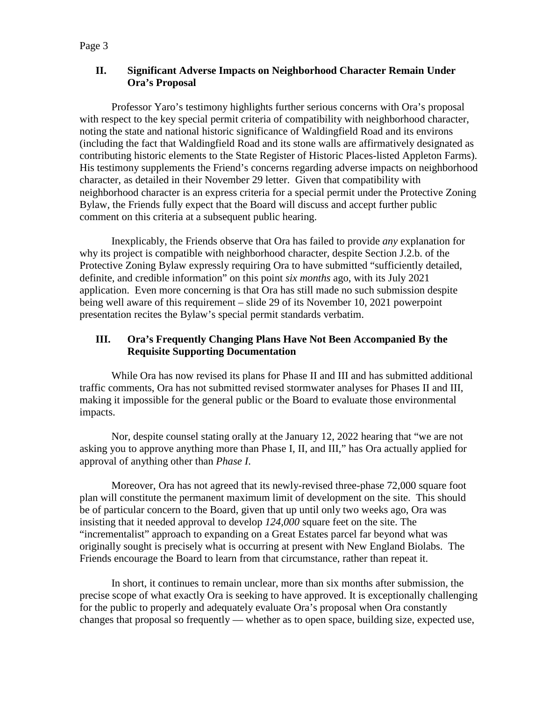# **II. Significant Adverse Impacts on Neighborhood Character Remain Under Ora's Proposal**

Professor Yaro's testimony highlights further serious concerns with Ora's proposal with respect to the key special permit criteria of compatibility with neighborhood character, noting the state and national historic significance of Waldingfield Road and its environs (including the fact that Waldingfield Road and its stone walls are affirmatively designated as contributing historic elements to the State Register of Historic Places-listed Appleton Farms). His testimony supplements the Friend's concerns regarding adverse impacts on neighborhood character, as detailed in their November 29 letter. Given that compatibility with neighborhood character is an express criteria for a special permit under the Protective Zoning Bylaw, the Friends fully expect that the Board will discuss and accept further public comment on this criteria at a subsequent public hearing.

Inexplicably, the Friends observe that Ora has failed to provide *any* explanation for why its project is compatible with neighborhood character, despite Section J.2.b. of the Protective Zoning Bylaw expressly requiring Ora to have submitted "sufficiently detailed, definite, and credible information" on this point *six months* ago, with its July 2021 application. Even more concerning is that Ora has still made no such submission despite being well aware of this requirement – slide 29 of its November 10, 2021 powerpoint presentation recites the Bylaw's special permit standards verbatim.

# **III. Ora's Frequently Changing Plans Have Not Been Accompanied By the Requisite Supporting Documentation**

While Ora has now revised its plans for Phase II and III and has submitted additional traffic comments, Ora has not submitted revised stormwater analyses for Phases II and III, making it impossible for the general public or the Board to evaluate those environmental impacts.

Nor, despite counsel stating orally at the January 12, 2022 hearing that "we are not asking you to approve anything more than Phase I, II, and III," has Ora actually applied for approval of anything other than *Phase I*.

Moreover, Ora has not agreed that its newly-revised three-phase 72,000 square foot plan will constitute the permanent maximum limit of development on the site. This should be of particular concern to the Board, given that up until only two weeks ago, Ora was insisting that it needed approval to develop *124,000* square feet on the site. The "incrementalist" approach to expanding on a Great Estates parcel far beyond what was originally sought is precisely what is occurring at present with New England Biolabs. The Friends encourage the Board to learn from that circumstance, rather than repeat it.

In short, it continues to remain unclear, more than six months after submission, the precise scope of what exactly Ora is seeking to have approved. It is exceptionally challenging for the public to properly and adequately evaluate Ora's proposal when Ora constantly changes that proposal so frequently — whether as to open space, building size, expected use,

### Page 3